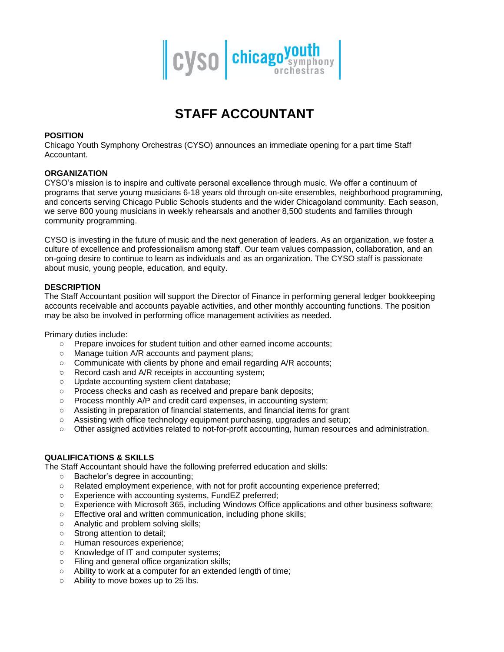

# **STAFF ACCOUNTANT**

## **POSITION**

Chicago Youth Symphony Orchestras (CYSO) announces an immediate opening for a part time Staff Accountant.

## **ORGANIZATION**

CYSO's mission is to inspire and cultivate personal excellence through music. We offer a continuum of programs that serve young musicians 6-18 years old through on-site ensembles, neighborhood programming, and concerts serving Chicago Public Schools students and the wider Chicagoland community. Each season, we serve 800 young musicians in weekly rehearsals and another 8,500 students and families through community programming.

CYSO is investing in the future of music and the next generation of leaders. As an organization, we foster a culture of excellence and professionalism among staff. Our team values compassion, collaboration, and an on-going desire to continue to learn as individuals and as an organization. The CYSO staff is passionate about music, young people, education, and equity.

## **DESCRIPTION**

The Staff Accountant position will support the Director of Finance in performing general ledger bookkeeping accounts receivable and accounts payable activities, and other monthly accounting functions. The position may be also be involved in performing office management activities as needed.

Primary duties include:

- Prepare invoices for student tuition and other earned income accounts;
- Manage tuition A/R accounts and payment plans;
- Communicate with clients by phone and email regarding A/R accounts;
- Record cash and A/R receipts in accounting system;
- Update accounting system client database;
- Process checks and cash as received and prepare bank deposits;
- Process monthly A/P and credit card expenses, in accounting system;
- Assisting in preparation of financial statements, and financial items for grant
- Assisting with office technology equipment purchasing, upgrades and setup;
- Other assigned activities related to not-for-profit accounting, human resources and administration.

#### **QUALIFICATIONS & SKILLS**

The Staff Accountant should have the following preferred education and skills:

- Bachelor's degree in accounting;
- Related employment experience, with not for profit accounting experience preferred;
- Experience with accounting systems, FundEZ preferred:
- Experience with Microsoft 365, including Windows Office applications and other business software;
- Effective oral and written communication, including phone skills;
- Analytic and problem solving skills;
- Strong attention to detail;
- Human resources experience;
- Knowledge of IT and computer systems;
- Filing and general office organization skills;
- Ability to work at a computer for an extended length of time;
- Ability to move boxes up to 25 lbs.